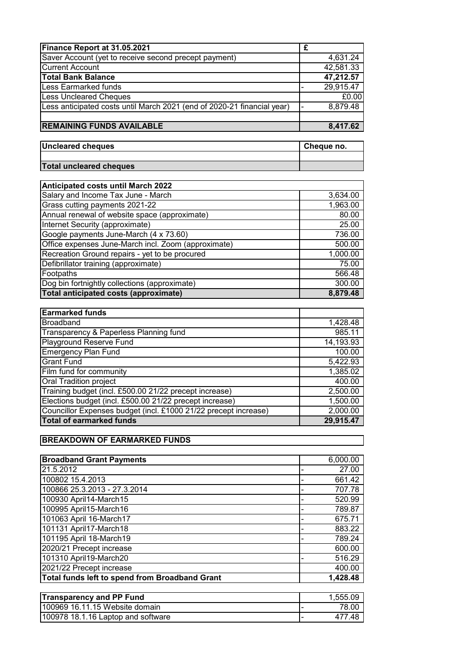| Finance Report at 31.05.2021                                            | £                   |
|-------------------------------------------------------------------------|---------------------|
| Saver Account (yet to receive second precept payment)                   | 4,631.24            |
| <b>Current Account</b>                                                  | 42,581.33           |
| <b>Total Bank Balance</b>                                               | 47,212.57           |
| Less Earmarked funds                                                    | 29,915.47           |
| <b>Less Uncleared Cheques</b>                                           | £0.00               |
| Less anticipated costs until March 2021 (end of 2020-21 financial year) | 8,879.48            |
|                                                                         |                     |
| <b>REMAINING FUNDS AVAILABLE</b>                                        | 8,417.62            |
|                                                                         |                     |
| <b>Uncleared cheques</b>                                                | Cheque no.          |
|                                                                         |                     |
| <b>Total uncleared cheques</b>                                          |                     |
|                                                                         |                     |
| <b>Anticipated costs until March 2022</b>                               |                     |
| Salary and Income Tax June - March                                      | 3,634.00            |
| Grass cutting payments 2021-22                                          | 1,963.00            |
| Annual renewal of website space (approximate)                           | 80.00               |
| Internet Security (approximate)                                         | 25.00               |
| Google payments June-March (4 x 73.60)                                  | 736.00              |
| Office expenses June-March incl. Zoom (approximate)                     | 500.00              |
| Recreation Ground repairs - yet to be procured                          | 1,000.00            |
| Defibrillator training (approximate)                                    | 75.00               |
| Footpaths                                                               | 566.48              |
| Dog bin fortnightly collections (approximate)                           | 300.00              |
| <b>Total anticipated costs (approximate)</b>                            | 8,879.48            |
|                                                                         |                     |
| <b>Earmarked funds</b>                                                  |                     |
| <b>Broadband</b>                                                        | 1,428.48            |
| Transparency & Paperless Planning fund                                  | 985.11              |
| Playground Reserve Fund                                                 | 14,193.93<br>100.00 |
| <b>Emergency Plan Fund</b><br><b>Grant Fund</b>                         | 5,422.93            |
| Film fund for community                                                 | 1,385.02            |
| <b>Oral Tradition project</b>                                           | 400.00              |
| Training budget (incl. £500.00 21/22 precept increase)                  | 2,500.00            |
| Elections budget (incl. £500.00 21/22 precept increase)                 | 1,500.00            |
| Councillor Expenses budget (incl. £1000 21/22 precept increase)         | 2,000.00            |
| <b>Total of earmarked funds</b>                                         | 29,915.47           |
|                                                                         |                     |
| <b>BREAKDOWN OF EARMARKED FUNDS</b>                                     |                     |
|                                                                         |                     |
| <b>Broadband Grant Payments</b>                                         | 6,000.00            |
| 21.5.2012                                                               | 27.00               |
| 100802 15.4.2013                                                        | 661.42              |
| 100866 25.3.2013 - 27.3.2014                                            | 707.78              |
| 100930 April14-March15                                                  | 520.99              |
| 100995 April15-March16                                                  | 789.87              |
| 101063 April 16-March17                                                 | 675.71              |
| 101131 April17-March18                                                  | 883.22              |
| 101195 April 18-March19                                                 | 789.24              |
| 2020/21 Precept increase                                                | 600.00              |
| 101310 April19-March20                                                  | 516.29              |
| 2021/22 Precept increase                                                | 400.00              |
| Total funds left to spend from Broadband Grant                          | 1,428.48            |
|                                                                         |                     |
| <b>Transparency and PP Fund</b>                                         | 1,555.09            |

100969 16.11.15 Website domain - 78.00 100978 18.1.16 Laptop and software - 477.48